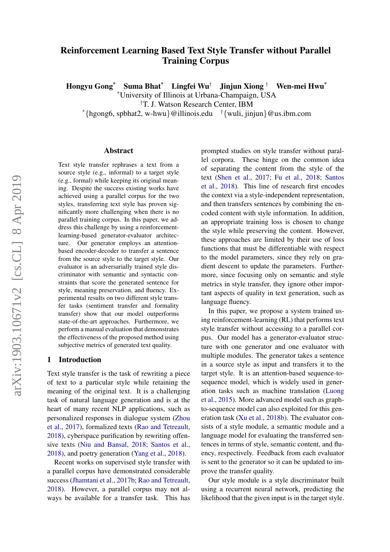# Reinforcement Learning Based Text Style Transfer without Parallel Training Corpus

Hongyu Gong\* Suma Bhat\* Lingfei Wu† Jinjun Xiong † Wen-mei Hwu\*

\*University of Illinois at Urbana-Champaign, USA

†T. J. Watson Research Center, IBM

 $*$ {hgong6, spbhat2, w-hwu}@illinois.edu  $\downarrow$ {wuli, jinjun}@us.ibm.com

#### Abstract

Text style transfer rephrases a text from a source style (e.g., informal) to a target style (e.g., formal) while keeping its original meaning. Despite the success existing works have achieved using a parallel corpus for the two styles, transferring text style has proven significantly more challenging when there is no parallel training corpus. In this paper, we address this challenge by using a reinforcementlearning-based generator-evaluator architecture. Our generator employs an attentionbased encoder-decoder to transfer a sentence from the source style to the target style. Our evaluator is an adversarially trained style discriminator with semantic and syntactic constraints that score the generated sentence for style, meaning preservation, and fluency. Experimental results on two different style transfer tasks (sentiment transfer and formality transfer) show that our model outperforms state-of-the-art approaches. Furthermore, we perform a manual evaluation that demonstrates the effectiveness of the proposed method using subjective metrics of generated text quality.

#### 1 Introduction

Text style transfer is the task of rewriting a piece of text to a particular style while retaining the meaning of the original text. It is a challenging task of natural language generation and is at the heart of many recent NLP applications, such as personalized responses in dialogue system [\(Zhou](#page-10-0) [et al.,](#page-10-0) [2017\)](#page-10-0), formalized texts [\(Rao and Tetreault,](#page-9-0) [2018\)](#page-9-0), cyberspace purification by rewriting offensive texts [\(Niu and Bansal,](#page-9-1) [2018;](#page-9-1) [Santos et al.,](#page-10-1) [2018\)](#page-10-1), and poetry generation [\(Yang et al.,](#page-10-2) [2018\)](#page-10-2).

Recent works on supervised style transfer with a parallel corpus have demonstrated considerable success [\(Jhamtani et al.,](#page-9-2) [2017b;](#page-9-2) [Rao and Tetreault,](#page-9-0) [2018\)](#page-9-0). However, a parallel corpus may not always be available for a transfer task. This has

prompted studies on style transfer without parallel corpora. These hinge on the common idea of separating the content from the style of the text [\(Shen et al.,](#page-10-3) [2017;](#page-10-3) [Fu et al.,](#page-9-3) [2018;](#page-9-3) [Santos](#page-10-1) [et al.,](#page-10-1) [2018\)](#page-10-1). This line of research first encodes the context via a style-independent representation, and then transfers sentences by combining the encoded content with style information. In addition, an appropriate training loss is chosen to change the style while preserving the content. However, these approaches are limited by their use of loss functions that must be differentiable with respect to the model parameters, since they rely on gradient descent to update the parameters. Furthermore, since focusing only on semantic and style metrics in style transfer, they ignore other important aspects of quality in text generation, such as language fluency.

In this paper, we propose a system trained using reinforcement-learning (RL) that performs text style transfer without accessing to a parallel corpus. Our model has a generator-evaluator structure with one generator and one evaluator with multiple modules. The generator takes a sentence in a source style as input and transfers it to the target style. It is an attention-based sequence-tosequence model, which is widely used in generation tasks such as machine translation [\(Luong](#page-9-4) [et al.,](#page-9-4) [2015\)](#page-9-4). More advanced model such as graphto-sequence model can also exploited for this generation task [\(Xu et al.,](#page-10-4) [2018b\)](#page-10-4). The evaluator consists of a style module, a semantic module and a language model for evaluating the transferred sentences in terms of style, semantic content, and fluency, respectively. Feedback from each evaluator is sent to the generator so it can be updated to improve the transfer quality.

Our style module is a style discriminator built using a recurrent neural network, predicting the likelihood that the given input is in the target style.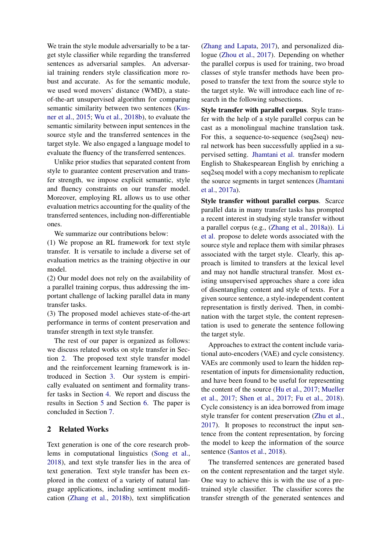We train the style module adversarially to be a target style classifier while regarding the transferred sentences as adversarial samples. An adversarial training renders style classification more robust and accurate. As for the semantic module, we used word movers' distance (WMD), a stateof-the-art unsupervised algorithm for comparing semantic similarity between two sentences [\(Kus](#page-9-5)[ner et al.,](#page-9-5) [2015;](#page-9-5) [Wu et al.,](#page-10-5) [2018b\)](#page-10-5), to evaluate the semantic similarity between input sentences in the source style and the transferred sentences in the target style. We also engaged a language model to evaluate the fluency of the transferred sentences.

Unlike prior studies that separated content from style to guarantee content preservation and transfer strength, we impose explicit semantic, style and fluency constraints on our transfer model. Moreover, employing RL allows us to use other evaluation metrics accounting for the quality of the transferred sentences, including non-differentiable ones.

We summarize our contributions below:

(1) We propose an RL framework for text style transfer. It is versatile to include a diverse set of evaluation metrics as the training objective in our model.

(2) Our model does not rely on the availability of a parallel training corpus, thus addressing the important challenge of lacking parallel data in many transfer tasks.

(3) The proposed model achieves state-of-the-art performance in terms of content preservation and transfer strength in text style transfer.

The rest of our paper is organized as follows: we discuss related works on style transfer in Section [2.](#page-1-0) The proposed text style transfer model and the reinforcement learning framework is introduced in Section [3.](#page-2-0) Our system is empirically evaluated on sentiment and formality transfer tasks in Section [4.](#page-5-0) We report and discuss the results in Section [5](#page-7-0) and Section [6.](#page-8-0) The paper is concluded in Section [7.](#page-8-1)

# <span id="page-1-0"></span>2 Related Works

Text generation is one of the core research problems in computational linguistics [\(Song et al.,](#page-10-6) [2018\)](#page-10-6), and text style transfer lies in the area of text generation. Text style transfer has been explored in the context of a variety of natural language applications, including sentiment modification [\(Zhang et al.,](#page-10-7) [2018b\)](#page-10-7), text simplification

[\(Zhang and Lapata,](#page-10-8) [2017\)](#page-10-8), and personalized dialogue [\(Zhou et al.,](#page-10-0) [2017\)](#page-10-0). Depending on whether the parallel corpus is used for training, two broad classes of style transfer methods have been proposed to transfer the text from the source style to the target style. We will introduce each line of research in the following subsections.

Style transfer with parallel corpus. Style transfer with the help of a style parallel corpus can be cast as a monolingual machine translation task. For this, a sequence-to-sequence (seq2seq) neural network has been successfully applied in a supervised setting. [Jhamtani et al.](#page-9-6) transfer modern English to Shakespearean English by enriching a seq2seq model with a copy mechanism to replicate the source segments in target sentences [\(Jhamtani](#page-9-6) [et al.,](#page-9-6) [2017a\)](#page-9-6).

Style transfer without parallel corpus. Scarce parallel data in many transfer tasks has prompted a recent interest in studying style transfer without a parallel corpus (e.g., [\(Zhang et al.,](#page-10-9) [2018a\)](#page-10-9)). [Li](#page-9-7) [et al.](#page-9-7) propose to delete words associated with the source style and replace them with similar phrases associated with the target style. Clearly, this approach is limited to transfers at the lexical level and may not handle structural transfer. Most existing unsupervised approaches share a core idea of disentangling content and style of texts. For a given source sentence, a style-independent content representation is firstly derived. Then, in combination with the target style, the content representation is used to generate the sentence following the target style.

Approaches to extract the content include variational auto-encoders (VAE) and cycle consistency. VAEs are commonly used to learn the hidden representation of inputs for dimensionality reduction, and have been found to be useful for representing the content of the source [\(Hu et al.,](#page-9-8) [2017;](#page-9-8) [Mueller](#page-9-9) [et al.,](#page-9-9) [2017;](#page-9-9) [Shen et al.,](#page-10-3) [2017;](#page-10-3) [Fu et al.,](#page-9-3) [2018\)](#page-9-3). Cycle consistency is an idea borrowed from image style transfer for content preservation [\(Zhu et al.,](#page-10-10) [2017\)](#page-10-10). It proposes to reconstruct the input sentence from the content representation, by forcing the model to keep the information of the source sentence [\(Santos et al.,](#page-10-1) [2018\)](#page-10-1).

The transferred sentences are generated based on the content representation and the target style. One way to achieve this is with the use of a pretrained style classifier. The classifier scores the transfer strength of the generated sentences and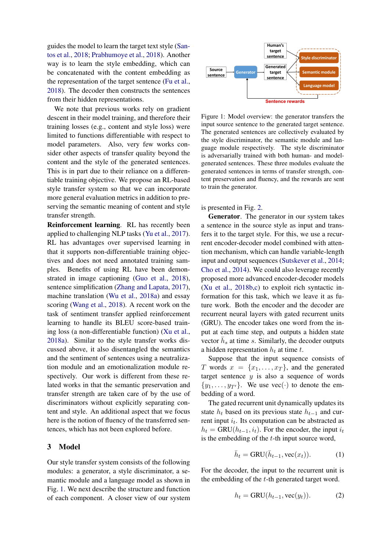guides the model to learn the target text style [\(San](#page-10-1)[tos et al.,](#page-10-1) [2018;](#page-10-1) [Prabhumoye et al.,](#page-9-10) [2018\)](#page-9-10). Another way is to learn the style embedding, which can be concatenated with the content embedding as the representation of the target sentence [\(Fu et al.,](#page-9-3) [2018\)](#page-9-3). The decoder then constructs the sentences from their hidden representations.

We note that previous works rely on gradient descent in their model training, and therefore their training losses (e.g., content and style loss) were limited to functions differentiable with respect to model parameters. Also, very few works consider other aspects of transfer quality beyond the content and the style of the generated sentences. This is in part due to their reliance on a differentiable training objective. We propose an RL-based style transfer system so that we can incorporate more general evaluation metrics in addition to preserving the semantic meaning of content and style transfer strength.

Reinforcement learning. RL has recently been applied to challenging NLP tasks [\(Yu et al.,](#page-10-11) [2017\)](#page-10-11). RL has advantages over supervised learning in that it supports non-differentiable training objectives and does not need annotated training samples. Benefits of using RL have been demonstrated in image captioning [\(Guo et al.,](#page-9-11) [2018\)](#page-9-11), sentence simplification [\(Zhang and Lapata,](#page-10-8) [2017\)](#page-10-8), machine translation [\(Wu et al.,](#page-10-12) [2018a\)](#page-10-12) and essay scoring [\(Wang et al.,](#page-10-13) [2018\)](#page-10-13). A recent work on the task of sentiment transfer applied reinforcement learning to handle its BLEU score-based training loss (a non-differentiable function) [\(Xu et al.,](#page-10-14) [2018a\)](#page-10-14). Similar to the style transfer works discussed above, it also disentangled the semantics and the sentiment of sentences using a neutralization module and an emotionalization module respectively. Our work is different from these related works in that the semantic preservation and transfer strength are taken care of by the use of discriminators without explicitly separating content and style. An additional aspect that we focus here is the notion of fluency of the transferred sentences, which has not been explored before.

#### <span id="page-2-0"></span>3 Model

Our style transfer system consists of the following modules: a generator, a style discriminator, a semantic module and a language model as shown in Fig. [1.](#page-2-1) We next describe the structure and function of each component. A closer view of our system

<span id="page-2-1"></span>

Figure 1: Model overview: the generator transfers the input source sentence to the generated target sentence. The generated sentences are collectively evaluated by the style discriminator, the semantic module and language module respectively. The style discriminator is adversarially trained with both human- and modelgenerated sentences. These three modules evaluate the generated sentences in terms of transfer strength, content preservation and fluency, and the rewards are sent to train the generator.

is presented in Fig. [2.](#page-3-0)

Generator. The generator in our system takes a sentence in the source style as input and transfers it to the target style. For this, we use a recurrent encoder-decoder model combined with attention mechanism, which can handle variable-length input and output sequences [\(Sutskever et al.,](#page-10-15) [2014;](#page-10-15) [Cho et al.,](#page-9-12) [2014\)](#page-9-12). We could also leverage recently proposed more advanced encoder-decoder models [\(Xu et al.,](#page-10-4) [2018b,](#page-10-4)[c\)](#page-10-16) to exploit rich syntactic information for this task, which we leave it as future work. Both the encoder and the decoder are recurrent neural layers with gated recurrent units (GRU). The encoder takes one word from the input at each time step, and outputs a hidden state vector  $\bar{h}_s$  at time s. Similarly, the decoder outputs a hidden representation  $h_t$  at time t.

Suppose that the input sequence consists of T words  $x = \{x_1, \ldots, x_T\}$ , and the generated target sentence  $y$  is also a sequence of words  $\{y_1, \ldots, y_{T'}\}.$  We use vec(·) to denote the embedding of a word.

The gated recurrent unit dynamically updates its state  $h_t$  based on its previous state  $h_{t-1}$  and current input  $i_t$ . Its computation can be abstracted as  $h_t = \text{GRU}(h_{t-1}, i_t)$ . For the encoder, the input  $i_t$ is the embedding of the  $t$ -th input source word,

$$
\bar{h}_t = \text{GRU}(\bar{h}_{t-1}, \text{vec}(x_t)).\tag{1}
$$

For the decoder, the input to the recurrent unit is the embedding of the t-th generated target word.

$$
h_t = \text{GRU}(h_{t-1}, \text{vec}(y_t)).\tag{2}
$$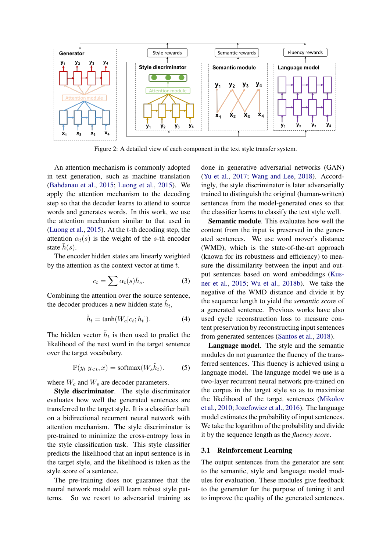<span id="page-3-0"></span>

Figure 2: A detailed view of each component in the text style transfer system.

An attention mechanism is commonly adopted in text generation, such as machine translation [\(Bahdanau et al.,](#page-9-13) [2015;](#page-9-13) [Luong et al.,](#page-9-4) [2015\)](#page-9-4). We apply the attention mechanism to the decoding step so that the decoder learns to attend to source words and generates words. In this work, we use the attention mechanism similar to that used in [\(Luong et al.,](#page-9-4) [2015\)](#page-9-4). At the  $t$ -th decoding step, the attention  $\alpha_t(s)$  is the weight of the s-th encoder state  $\bar{h}(s)$ .

The encoder hidden states are linearly weighted by the attention as the context vector at time  $t$ .

$$
c_t = \sum \alpha_t(s)\bar{h}_s.
$$
 (3)

Combining the attention over the source sentence, the decoder produces a new hidden state  $\tilde{h}_t$ ,

$$
\tilde{h}_t = \tanh(W_c[c_t; h_t]). \tag{4}
$$

The hidden vector  $\tilde{h}_t$  is then used to predict the likelihood of the next word in the target sentence over the target vocabulary.

$$
\mathbb{P}(y_t|y_{< t}, x) = \text{softmax}(W_s \tilde{h}_t). \tag{5}
$$

where  $W_c$  and  $W_s$  are decoder parameters.

Style discriminator. The style discriminator evaluates how well the generated sentences are transferred to the target style. It is a classifier built on a bidirectional recurrent neural network with attention mechanism. The style discriminator is pre-trained to minimize the cross-entropy loss in the style classification task. This style classifier predicts the likelihood that an input sentence is in the target style, and the likelihood is taken as the style score of a sentence.

The pre-training does not guarantee that the neural network model will learn robust style patterns. So we resort to adversarial training as

done in generative adversarial networks (GAN) [\(Yu et al.,](#page-10-11) [2017;](#page-10-11) [Wang and Lee,](#page-10-17) [2018\)](#page-10-17). Accordingly, the style discriminator is later adversarially trained to distinguish the original (human-written) sentences from the model-generated ones so that the classifier learns to classify the text style well.

Semantic module. This evaluates how well the content from the input is preserved in the generated sentences. We use word mover's distance (WMD), which is the state-of-the-art approach (known for its robustness and efficiency) to measure the dissimilarity between the input and output sentences based on word embeddings [\(Kus](#page-9-5)[ner et al.,](#page-9-5) [2015;](#page-9-5) [Wu et al.,](#page-10-5) [2018b\)](#page-10-5). We take the negative of the WMD distance and divide it by the sequence length to yield the *semantic score* of a generated sentence. Previous works have also used cycle reconstruction loss to measure content preservation by reconstructing input sentences from generated sentences [\(Santos et al.,](#page-10-1) [2018\)](#page-10-1).

Language model. The style and the semantic modules do not guarantee the fluency of the transferred sentences. This fluency is achieved using a language model. The language model we use is a two-layer recurrent neural network pre-trained on the corpus in the target style so as to maximize the likelihood of the target sentences [\(Mikolov](#page-9-14) [et al.,](#page-9-14) [2010;](#page-9-14) [Jozefowicz et al.,](#page-9-15) [2016\)](#page-9-15). The language model estimates the probability of input sentences. We take the logarithm of the probability and divide it by the sequence length as the *fluency score*.

#### 3.1 Reinforcement Learning

The output sentences from the generator are sent to the semantic, style and language model modules for evaluation. These modules give feedback to the generator for the purpose of tuning it and to improve the quality of the generated sentences.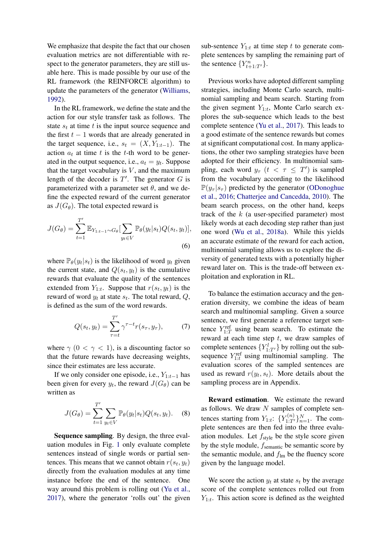We emphasize that despite the fact that our chosen evaluation metrics are not differentiable with respect to the generator parameters, they are still usable here. This is made possible by our use of the RL framework (the REINFORCE algorithm) to update the parameters of the generator [\(Williams,](#page-10-18) [1992\)](#page-10-18).

In the RL framework, we define the state and the action for our style transfer task as follows. The state  $s_t$  at time t is the input source sequence and the first  $t - 1$  words that are already generated in the target sequence, i.e.,  $s_t = (X, Y_{1:t-1})$ . The action  $a_t$  at time t is the t-th word to be generated in the output sequence, i.e.,  $a_t = y_t$ . Suppose that the target vocabulary is  $V$ , and the maximum length of the decoder is  $T'$ . The generator  $G$  is parameterized with a parameter set  $\theta$ , and we define the expected reward of the current generator as  $J(G_\theta)$ . The total expected reward is

$$
J(G_{\theta}) = \sum_{t=1}^{T'} \mathbb{E}_{Y_{1:t-1} \sim G_{\theta}} \left[ \sum_{y_t \in V} \mathbb{P}_{\theta}(y_t | s_t) Q(s_t, y_t) \right],
$$
\n(6)

where  $\mathbb{P}_{\theta}(y_t|s_t)$  is the likelihood of word  $y_t$  given the current state, and  $Q(s_t, y_t)$  is the cumulative rewards that evaluate the quality of the sentences extended from  $Y_{1:t}$ . Suppose that  $r(s_t, y_t)$  is the reward of word  $y_t$  at state  $s_t$ . The total reward,  $Q$ , is defined as the sum of the word rewards.

$$
Q(s_t, y_t) = \sum_{\tau=t}^{T'} \gamma^{\tau-t} r(s_{\tau}, y_{\tau}), \qquad (7)
$$

where  $\gamma$  (0 <  $\gamma$  < 1), is a discounting factor so that the future rewards have decreasing weights, since their estimates are less accurate.

If we only consider one episode, i.e.,  $Y_{1:t-1}$  has been given for every  $y_t$ , the reward  $J(G_\theta)$  can be written as

$$
J(G_{\theta}) = \sum_{t=1}^{T'} \sum_{y_t \in V} \mathbb{P}_{\theta}(y_t|s_t) Q(s_t, y_t).
$$
 (8)

Sequence sampling. By design, the three evaluation modules in Fig. [1](#page-2-1) only evaluate complete sentences instead of single words or partial sentences. This means that we cannot obtain  $r(s_t, y_t)$ directly from the evaluation modules at any time instance before the end of the sentence. One way around this problem is rolling out [\(Yu et al.,](#page-10-11) [2017\)](#page-10-11), where the generator 'rolls out' the given sub-sentence  $Y_{1:t}$  at time step t to generate complete sentences by sampling the remaining part of the sentence  $\{Y_{t+1:T'}^n\}$ .

Previous works have adopted different sampling strategies, including Monte Carlo search, multinomial sampling and beam search. Starting from the given segment  $Y_{1:t}$ , Monte Carlo search explores the sub-sequence which leads to the best complete sentence [\(Yu et al.,](#page-10-11) [2017\)](#page-10-11). This leads to a good estimate of the sentence rewards but comes at significant computational cost. In many applications, the other two sampling strategies have been adopted for their efficiency. In multinomial sampling, each word  $y_{\tau}$   $(t < \tau \leq T')$  is sampled from the vocabulary according to the likelihood  $\mathbb{P}(y_\tau | s_\tau)$  predicted by the generator [\(ODonoghue](#page-9-16) [et al.,](#page-9-16) [2016;](#page-9-16) [Chatterjee and Cancedda,](#page-9-17) [2010\)](#page-9-17). The beam search process, on the other hand, keeps track of the  $k$  (a user-specified parameter) most likely words at each decoding step rather than just one word [\(Wu et al.,](#page-10-12) [2018a\)](#page-10-12). While this yields an accurate estimate of the reward for each action, multinomial sampling allows us to explore the diversity of generated texts with a potentially higher reward later on. This is the trade-off between exploitation and exploration in RL.

<span id="page-4-0"></span>To balance the estimation accuracy and the generation diversity, we combine the ideas of beam search and multinomial sampling. Given a source sentence, we first generate a reference target sentence  $Y_{1:T}^{\text{ref}}$  using beam search. To estimate the reward at each time step  $t$ , we draw samples of complete sentences  ${Y_{1:T'}^l}$  by rolling out the subsequence  $Y_{1:t}^{\text{ref}}$  using multinomial sampling. The evaluation scores of the sampled sentences are used as reward  $r(y_t, s_t)$ . More details about the sampling process are in Appendix.

<span id="page-4-1"></span>Reward estimation. We estimate the reward as follows. We draw  $N$  samples of complete sentences starting from  $Y_{1:t}$ :  $\{Y_{1:T'}^{(n)}\}_{n=1}^N$ . The complete sentences are then fed into the three evaluation modules. Let  $f_{style}$  be the style score given by the style module,  $f_{\text{semantic}}$  be semantic score by the semantic module, and  $f_{lm}$  be the fluency score given by the language model.

We score the action  $y_t$  at state  $s_t$  by the average score of the complete sentences rolled out from  $Y_{1:t}$ . This action score is defined as the weighted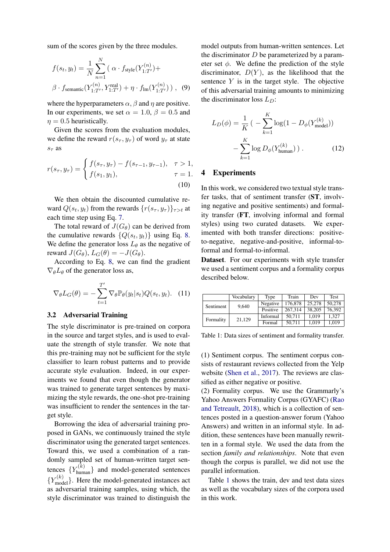sum of the scores given by the three modules.

$$
f(s_t, y_t) = \frac{1}{N} \sum_{n=1}^{N} (\alpha \cdot f_{\text{style}}(Y_{1:T'}^{(n)}) +
$$
  

$$
\beta \cdot f_{\text{semantic}}(Y_{1:T'}^{(n)}, Y_{1:T'}^{\text{real}}) + \eta \cdot f_{\text{lm}}(Y_{1:T'}^{(n)})) , \quad (9)
$$

where the hyperparameters  $\alpha$ ,  $\beta$  and  $\eta$  are positive. In our experiments, we set  $\alpha = 1.0$ ,  $\beta = 0.5$  and  $\eta = 0.5$  heuristically.

Given the scores from the evaluation modules, we define the reward  $r(s_\tau, y_\tau)$  of word  $y_\tau$  at state  $s<sub>\tau</sub>$  as

$$
r(s_{\tau}, y_{\tau}) = \begin{cases} f(s_{\tau}, y_{\tau}) - f(s_{\tau-1}, y_{\tau-1}), & \tau > 1, \\ f(s_1, y_1), & \tau = 1. \end{cases}
$$
(10)

We then obtain the discounted cumulative reward  $Q(s_t, y_t)$  from the rewards  $\{r(s_\tau, y_\tau)\}_{\tau>t}$  at each time step using Eq. [7.](#page-4-0)

The total reward of  $J(G_\theta)$  can be derived from the cumulative rewards  $\{Q(s_t, y_t)\}\$  using Eq. [8.](#page-4-1) We define the generator loss  $L_{\theta}$  as the negative of reward  $J(G_\theta)$ ,  $L_G(\theta) = -J(G_\theta)$ .

According to Eq. [8,](#page-4-1) we can find the gradient  $\nabla_{\theta}L_{\theta}$  of the generator loss as,

$$
\nabla_{\theta} L_G(\theta) = -\sum_{t=1}^{T'} \nabla_{\theta} \mathbb{P}_{\theta}(y_t|s_t) Q(s_t, y_t). \quad (11)
$$

#### 3.2 Adversarial Training

The style discriminator is pre-trained on corpora in the source and target styles, and is used to evaluate the strength of style transfer. We note that this pre-training may not be sufficient for the style classifier to learn robust patterns and to provide accurate style evaluation. Indeed, in our experiments we found that even though the generator was trained to generate target sentences by maximizing the style rewards, the one-shot pre-training was insufficient to render the sentences in the target style.

Borrowing the idea of adversarial training proposed in GANs, we continuously trained the style discriminator using the generated target sentences. Toward this, we used a combination of a randomly sampled set of human-written target sentences  $\{Y_{\text{human}}^{(k)}\}$  and model-generated sentences  ${Y_{\text{model}}^{(k)}}$ . Here the model-generated instances act as adversarial training samples, using which, the style discriminator was trained to distinguish the

model outputs from human-written sentences. Let the discriminator  $D$  be parameterized by a parameter set  $\phi$ . We define the prediction of the style discriminator,  $D(Y)$ , as the likelihood that the sentence  $Y$  is in the target style. The objective of this adversarial training amounts to minimizing the discriminator loss  $L_D$ :

$$
L_D(\phi) = \frac{1}{K} \left( -\sum_{k=1}^{K} \log(1 - D_{\phi}(Y_{\text{model}}^{(k)})) - \sum_{k=1}^{K} \log D_{\phi}(Y_{\text{human}}^{(k)}) \right). \tag{12}
$$

#### <span id="page-5-2"></span><span id="page-5-0"></span>4 Experiments

In this work, we considered two textual style transfer tasks, that of sentiment transfer (ST, involving negative and positive sentiments) and formality transfer (FT, involving informal and formal styles) using two curated datasets. We experimented with both transfer directions: positiveto-negative, negative-and-positive, informal-toformal and formal-to-informal.

Dataset. For our experiments with style transfer we used a sentiment corpus and a formality corpus described below.

<span id="page-5-1"></span>

|           | Vocabulary | Type     | Train   | Dev    | <b>Test</b> |
|-----------|------------|----------|---------|--------|-------------|
| Sentiment | 9,640      | Negative | 176,878 | 25,278 | 50.278      |
|           |            | Positive | 267.314 | 38,205 | 76.392      |
| Formality | 21,129     | Informal | 50.711  | 1.019  | 1.327       |
|           |            | Formal   | 50.711  | 1.019  | 1.019       |

Table 1: Data sizes of sentiment and formality transfer.

(1) Sentiment corpus. The sentiment corpus consists of restaurant reviews collected from the Yelp website [\(Shen et al.,](#page-10-3) [2017\)](#page-10-3). The reviews are classified as either negative or positive.

(2) Formality corpus. We use the Grammarly's Yahoo Answers Formality Corpus (GYAFC) [\(Rao](#page-9-0) [and Tetreault,](#page-9-0) [2018\)](#page-9-0), which is a collection of sentences posted in a question-answer forum (Yahoo Answers) and written in an informal style. In addition, these sentences have been manually rewritten in a formal style. We used the data from the section *family and relationships*. Note that even though the corpus is parallel, we did not use the parallel information.

Table [1](#page-5-1) shows the train, dev and test data sizes as well as the vocabulary sizes of the corpora used in this work.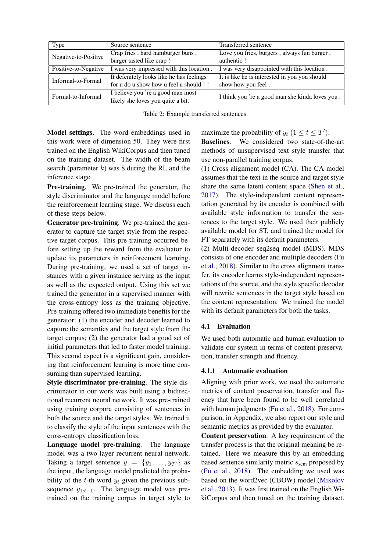<span id="page-6-0"></span>

| <b>Type</b>          | Source sentence                          | Transferred sentence                            |  |  |
|----------------------|------------------------------------------|-------------------------------------------------|--|--|
| Negative-to-Positive | Crap fries, hard hamburger buns,         | Love you fries, burgers, always fun burger,     |  |  |
|                      | burger tasted like crap!                 | authentic!                                      |  |  |
| Positive-to-Negative | I was very impressed with this location. | I was very disappointed with this location.     |  |  |
| Informal-to-Formal   | It defenitely looks like he has feelings | It is like he is interested in you you should   |  |  |
|                      | for u do u show how u feel u should !!   | show how you feel.                              |  |  |
| Formal-to-Informal   | I believe you 're a good man most        | I think you 're a good man she kinda loves you. |  |  |
|                      | likely she loves you quite a bit.        |                                                 |  |  |

Table 2: Example transferred sentences.

Model settings. The word embeddings used in this work were of dimension 50. They were first trained on the English WikiCorpus and then tuned on the training dataset. The width of the beam search (parameter  $k$ ) was 8 during the RL and the inference stage.

Pre-training. We pre-trained the generator, the style discriminator and the language model before the reinforcement learning stage. We discuss each of these steps below.

Generator pre-training. We pre-trained the generator to capture the target style from the respective target corpus. This pre-training occurred before setting up the reward from the evaluator to update its parameters in reinforcement learning. During pre-training, we used a set of target instances with a given instance serving as the input as well as the expected output. Using this set we trained the generator in a supervised manner with the cross-entropy loss as the training objective. Pre-training offered two immediate benefits for the generator: (1) the encoder and decoder learned to capture the semantics and the target style from the target corpus; (2) the generator had a good set of initial parameters that led to faster model training. This second aspect is a significant gain, considering that reinforcement learning is more time consuming than supervised learning.

Style discriminator pre-training. The style discriminator in our work was built using a bidirectional recurrent neural network. It was pre-trained using training corpora consisting of sentences in both the source and the target styles. We trained it to classify the style of the input sentences with the cross-entropy classification loss.

Language model pre-training. The language model was a two-layer recurrent neural network. Taking a target sentence  $y = \{y_1, \ldots, y_{T'}\}$  as the input, the language model predicted the probability of the t-th word  $y_t$  given the previous subsequence  $y_{1:t-1}$ . The language model was pretrained on the training corpus in target style to maximize the probability of  $y_t$   $(1 \le t \le T')$ . Baselines. We considered two state-of-the-art methods of unsupervised text style transfer that use non-parallel training corpus.

(1) Cross alignment model (CA). The CA model assumes that the text in the source and target style share the same latent content space [\(Shen et al.,](#page-10-3) [2017\)](#page-10-3). The style-independent content representation generated by its encoder is combined with available style information to transfer the sentences to the target style. We used their publicly available model for ST, and trained the model for FT separately with its default parameters.

(2) Multi-decoder seq2seq model (MDS). MDS consists of one encoder and multiple decoders [\(Fu](#page-9-3) [et al.,](#page-9-3) [2018\)](#page-9-3). Similar to the cross alignment transfer, its encoder learns style-independent representations of the source, and the style specific decoder will rewrite sentences in the target style based on the content representation. We trained the model with its default parameters for both the tasks.

# 4.1 Evaluation

We used both automatic and human evaluation to validate our system in terms of content preservation, transfer strength and fluency.

# 4.1.1 Automatic evaluation

Aligning with prior work, we used the automatic metrics of content preservation, transfer and fluency that have been found to be well correlated with human judgments [\(Fu et al.,](#page-9-3) [2018\)](#page-9-3). For comparison, in Appendix, we also report our style and semantic metrics as provided by the evaluator.

Content preservation. A key requirement of the transfer process is that the original meaning be retained. Here we measure this by an embedding based sentence similarity metric  $s_{\text{sem}}$  proposed by [\(Fu et al.,](#page-9-3) [2018\)](#page-9-3). The embedding we used was based on the word2vec (CBOW) model [\(Mikolov](#page-9-18) [et al.,](#page-9-18) [2013\)](#page-9-18). It was first trained on the English WikiCorpus and then tuned on the training dataset.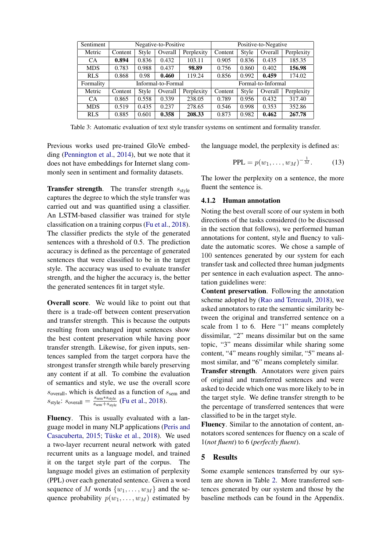<span id="page-7-1"></span>

| Sentiment  | Negative-to-Positive |       |         |            | Positive-to-Negative |       |         |            |
|------------|----------------------|-------|---------|------------|----------------------|-------|---------|------------|
| Metric     | Content              | Style | Overall | Perplexity | Content              | Style | Overall | Perplexity |
| <b>CA</b>  | 0.894                | 0.836 | 0.432   | 103.11     | 0.905                | 0.836 | 0.435   | 185.35     |
| <b>MDS</b> | 0.783                | 0.988 | 0.437   | 98.89      | 0.756                | 0.860 | 0.402   | 156.98     |
| <b>RLS</b> | 0.868                | 0.98  | 0.460   | 119.24     | 0.856                | 0.992 | 0.459   | 174.02     |
| Formality  | Informal-to-Formal   |       |         |            | Formal-to-Informal   |       |         |            |
| Metric     | Content              | Style | Overall | Perplexity | Content              | Style | Overall | Perplexity |
| CA.        | 0.865                | 0.558 | 0.339   | 238.05     | 0.789                | 0.956 | 0.432   | 317.40     |
| <b>MDS</b> | 0.519                | 0.435 | 0.237   | 278.65     | 0.546                | 0.998 | 0.353   | 352.86     |
| <b>RLS</b> | 0.885                | 0.601 | 0.358   | 208.33     | 0.873                | 0.982 | 0.462   | 267.78     |

Table 3: Automatic evaluation of text style transfer systems on sentiment and formality transfer.

Previous works used pre-trained GloVe embedding [\(Pennington et al.,](#page-9-19) [2014\)](#page-9-19), but we note that it does not have embeddings for Internet slang commonly seen in sentiment and formality datasets.

**Transfer strength.** The transfer strength  $s_{style}$ captures the degree to which the style transfer was carried out and was quantified using a classifier. An LSTM-based classifier was trained for style classification on a training corpus [\(Fu et al.,](#page-9-3) [2018\)](#page-9-3). The classifier predicts the style of the generated sentences with a threshold of 0.5. The prediction accuracy is defined as the percentage of generated sentences that were classified to be in the target style. The accuracy was used to evaluate transfer strength, and the higher the accuracy is, the better the generated sentences fit in target style.

Overall score. We would like to point out that there is a trade-off between content preservation and transfer strength. This is because the outputs resulting from unchanged input sentences show the best content preservation while having poor transfer strength. Likewise, for given inputs, sentences sampled from the target corpora have the strongest transfer strength while barely preserving any content if at all. To combine the evaluation of semantics and style, we use the overall score  $s_{\text{overall}}$ , which is defined as a function of  $s_{\text{sem}}$  and  $s_{style:}}$  s<sub>overall</sub> =  $\frac{s_{sem}*s_{style}}{s_{sem}+s_{crub}}$  $\frac{s_{\text{sem}}+s_{\text{style}}}{s_{\text{sem}}+s_{\text{style}}}$  [\(Fu et al.,](#page-9-3) [2018\)](#page-9-3).

Fluency. This is usually evaluated with a language model in many NLP applications [\(Peris and](#page-9-20) [Casacuberta,](#page-9-20) [2015;](#page-9-20) Tüske et al., [2018\)](#page-10-19). We used a two-layer recurrent neural network with gated recurrent units as a language model, and trained it on the target style part of the corpus. The language model gives an estimation of perplexity (PPL) over each generated sentence. Given a word sequence of M words  $\{w_1, \ldots, w_M\}$  and the sequence probability  $p(w_1, \ldots, w_M)$  estimated by the language model, the perplexity is defined as:

$$
PPL = p(w_1, \dots, w_M)^{-\frac{1}{M}}.
$$
 (13)

The lower the perplexity on a sentence, the more fluent the sentence is.

#### 4.1.2 Human annotation

Noting the best overall score of our system in both directions of the tasks considered (to be discussed in the section that follows), we performed human annotations for content, style and fluency to validate the automatic scores. We chose a sample of 100 sentences generated by our system for each transfer task and collected three human judgments per sentence in each evaluation aspect. The annotation guidelines were:

Content preservation. Following the annotation scheme adopted by [\(Rao and Tetreault,](#page-9-0) [2018\)](#page-9-0), we asked annotators to rate the semantic similarity between the original and transferred sentence on a scale from 1 to 6. Here "1" means completely dissimilar, "2" means dissimilar but on the same topic, "3" means dissimilar while sharing some content, "4" means roughly similar, "5" means almost similar, and "6" means completely similar.

Transfer strength. Annotators were given pairs of original and transferred sentences and were asked to decide which one was more likely to be in the target style. We define transfer strength to be the percentage of transferred sentences that were classified to be in the target style.

Fluency. Similar to the annotation of content, annotators scored sentences for fluency on a scale of 1(*not fluent*) to 6 (*perfectly fluent*).

# <span id="page-7-0"></span>5 Results

Some example sentences transferred by our system are shown in Table [2.](#page-6-0) More transferred sentences generated by our system and those by the baseline methods can be found in the Appendix.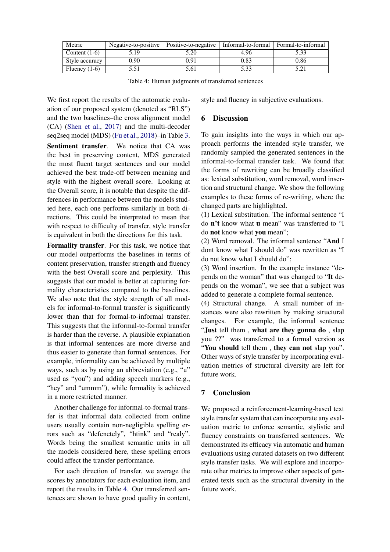<span id="page-8-2"></span>

| Metric          |      | Negative-to-positive   Positive-to-negative   Informal-to-formal |      | Formal-to-informal |
|-----------------|------|------------------------------------------------------------------|------|--------------------|
| Content $(1-6)$ | 5.19 | 5.20                                                             | 4.96 | 5.33               |
| Style accuracy  | 0.90 | 0.91                                                             | 0.83 | 0.86               |
| Fluency $(1-6)$ | 5.51 | 61.ر                                                             | 5.33 |                    |

Table 4: Human judgments of transferred sentences

We first report the results of the automatic evaluation of our proposed system (denoted as "RLS") and the two baselines–the cross alignment model (CA) [\(Shen et al.,](#page-10-3) [2017\)](#page-10-3) and the multi-decoder seq2seq model (MDS) [\(Fu et al.,](#page-9-3) [2018\)](#page-9-3)–in Table [3.](#page-7-1) Sentiment transfer. We notice that CA was the best in preserving content, MDS generated the most fluent target sentences and our model achieved the best trade-off between meaning and style with the highest overall score. Looking at the Overall score, it is notable that despite the differences in performance between the models studied here, each one performs similarly in both directions. This could be interpreted to mean that with respect to difficulty of transfer, style transfer is equivalent in both the directions for this task.

Formality transfer. For this task, we notice that our model outperforms the baselines in terms of content preservation, transfer strength and fluency with the best Overall score and perplexity. This suggests that our model is better at capturing formality characteristics compared to the baselines. We also note that the style strength of all models for informal-to-formal transfer is significantly lower than that for formal-to-informal transfer. This suggests that the informal-to-formal transfer is harder than the reverse. A plausible explanation is that informal sentences are more diverse and thus easier to generate than formal sentences. For example, informality can be achieved by multiple ways, such as by using an abbreviation (e.g., "u" used as "you") and adding speech markers (e.g., "hey" and "ummm"), while formality is achieved in a more restricted manner.

Another challenge for informal-to-formal transfer is that informal data collected from online users usually contain non-negligible spelling errors such as "defenetely", "htink" and "realy". Words being the smallest semantic units in all the models considered here, these spelling errors could affect the transfer performance.

For each direction of transfer, we average the scores by annotators for each evaluation item, and report the results in Table [4.](#page-8-2) Our transferred sentences are shown to have good quality in content, style and fluency in subjective evaluations.

# <span id="page-8-0"></span>6 Discussion

To gain insights into the ways in which our approach performs the intended style transfer, we randomly sampled the generated sentences in the informal-to-formal transfer task. We found that the forms of rewriting can be broadly classified as: lexical substitution, word removal, word insertion and structural change. We show the following examples to these forms of re-writing, where the changed parts are highlighted.

(1) Lexical substitution. The informal sentence "I do n't know what u mean" was transferred to "I do not know what you mean";

(2) Word removal. The informal sentence "And I dont know what I should do" was rewritten as "I do not know what I should do";

(3) Word insertion. In the example instance "depends on the woman" that was changed to "It depends on the woman", we see that a subject was added to generate a complete formal sentence.

(4) Structural change. A small number of instances were also rewritten by making structural changes. For example, the informal sentence "Just tell them , what are they gonna do , slap you ??" was transferred to a formal version as "You should tell them, they can not slap you". Other ways of style transfer by incorporating evaluation metrics of structural diversity are left for future work.

# <span id="page-8-1"></span>7 Conclusion

We proposed a reinforcement-learning-based text style transfer system that can incorporate any evaluation metric to enforce semantic, stylistic and fluency constraints on transferred sentences. We demonstrated its efficacy via automatic and human evaluations using curated datasets on two different style transfer tasks. We will explore and incorporate other metrics to improve other aspects of generated texts such as the structural diversity in the future work.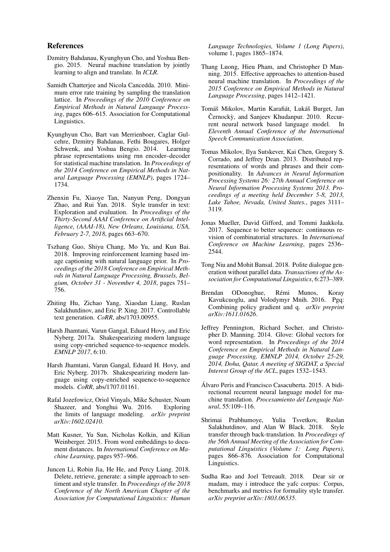#### References

- <span id="page-9-13"></span>Dzmitry Bahdanau, Kyunghyun Cho, and Yoshua Bengio. 2015. Neural machine translation by jointly learning to align and translate. In *ICLR*.
- <span id="page-9-17"></span>Samidh Chatterjee and Nicola Cancedda. 2010. Minimum error rate training by sampling the translation lattice. In *Proceedings of the 2010 Conference on Empirical Methods in Natural Language Processing*, pages 606–615. Association for Computational Linguistics.
- <span id="page-9-12"></span>Kyunghyun Cho, Bart van Merrienboer, Caglar Gulcehre, Dzmitry Bahdanau, Fethi Bougares, Holger Schwenk, and Yoshua Bengio. 2014. Learning phrase representations using rnn encoder–decoder for statistical machine translation. In *Proceedings of the 2014 Conference on Empirical Methods in Natural Language Processing (EMNLP)*, pages 1724– 1734.
- <span id="page-9-3"></span>Zhenxin Fu, Xiaoye Tan, Nanyun Peng, Dongyan Zhao, and Rui Yan. 2018. Style transfer in text: Exploration and evaluation. In *Proceedings of the Thirty-Second AAAI Conference on Artificial Intelligence, (AAAI-18), New Orleans, Louisiana, USA, February 2-7, 2018*, pages 663–670.
- <span id="page-9-11"></span>Tszhang Guo, Shiyu Chang, Mo Yu, and Kun Bai. 2018. Improving reinforcement learning based image captioning with natural language prior. In *Proceedings of the 2018 Conference on Empirical Methods in Natural Language Processing, Brussels, Belgium, October 31 - November 4, 2018*, pages 751– 756.
- <span id="page-9-8"></span>Zhiting Hu, Zichao Yang, Xiaodan Liang, Ruslan Salakhutdinov, and Eric P. Xing. 2017. Controllable text generation. *CoRR*, abs/1703.00955.
- <span id="page-9-6"></span>Harsh Jhamtani, Varun Gangal, Eduard Hovy, and Eric Nyberg. 2017a. Shakespearizing modern language using copy-enriched sequence-to-sequence models. *EMNLP 2017*, 6:10.
- <span id="page-9-2"></span>Harsh Jhamtani, Varun Gangal, Eduard H. Hovy, and Eric Nyberg. 2017b. Shakespearizing modern language using copy-enriched sequence-to-sequence models. *CoRR*, abs/1707.01161.
- <span id="page-9-15"></span>Rafal Jozefowicz, Oriol Vinyals, Mike Schuster, Noam Shazeer, and Yonghui Wu. 2016. Exploring the limits of language modeling. *arXiv preprint arXiv:1602.02410*.
- <span id="page-9-5"></span>Matt Kusner, Yu Sun, Nicholas Kolkin, and Kilian Weinberger. 2015. From word embeddings to document distances. In *International Conference on Machine Learning*, pages 957–966.
- <span id="page-9-7"></span>Juncen Li, Robin Jia, He He, and Percy Liang. 2018. Delete, retrieve, generate: a simple approach to sentiment and style transfer. In *Proceedings of the 2018 Conference of the North American Chapter of the Association for Computational Linguistics: Human*

*Language Technologies, Volume 1 (Long Papers)*, volume 1, pages 1865–1874.

- <span id="page-9-4"></span>Thang Luong, Hieu Pham, and Christopher D Manning. 2015. Effective approaches to attention-based neural machine translation. In *Proceedings of the 2015 Conference on Empirical Methods in Natural Language Processing*, pages 1412–1421.
- <span id="page-9-14"></span>Tomáš Mikolov, Martin Karafiát, Lukáš Burget, Jan Černockỳ, and Sanjeev Khudanpur. 2010. Recurrent neural network based language model. In *Eleventh Annual Conference of the International Speech Communication Association*.
- <span id="page-9-18"></span>Tomas Mikolov, Ilya Sutskever, Kai Chen, Gregory S. Corrado, and Jeffrey Dean. 2013. Distributed representations of words and phrases and their compositionality. In *Advances in Neural Information Processing Systems 26: 27th Annual Conference on Neural Information Processing Systems 2013. Proceedings of a meeting held December 5-8, 2013, Lake Tahoe, Nevada, United States.*, pages 3111– 3119.
- <span id="page-9-9"></span>Jonas Mueller, David Gifford, and Tommi Jaakkola. 2017. Sequence to better sequence: continuous revision of combinatorial structures. In *International Conference on Machine Learning*, pages 2536– 2544.
- <span id="page-9-1"></span>Tong Niu and Mohit Bansal. 2018. Polite dialogue generation without parallel data. *Transactions of the Association for Computational Linguistics*, 6:273–389.
- <span id="page-9-16"></span>Brendan ODonoghue, Rémi Munos, Koray Kavukcuoglu, and Volodymyr Mnih. 2016. Pgq: Combining policy gradient and q. *arXiv preprint arXiv:1611.01626*.
- <span id="page-9-19"></span>Jeffrey Pennington, Richard Socher, and Christopher D. Manning. 2014. Glove: Global vectors for word representation. In *Proceedings of the 2014 Conference on Empirical Methods in Natural Language Processing, EMNLP 2014, October 25-29, 2014, Doha, Qatar, A meeting of SIGDAT, a Special Interest Group of the ACL*, pages 1532–1543.
- <span id="page-9-20"></span>Alvaro Peris and Francisco Casacuberta. 2015. A bidi- ´ rectional recurrent neural language model for machine translation. *Procesamiento del Lenguaje Natural*, 55:109–116.
- <span id="page-9-10"></span>Shrimai Prabhumoye, Yulia Tsvetkov, Ruslan Salakhutdinov, and Alan W Black. 2018. Style transfer through back-translation. In *Proceedings of the 56th Annual Meeting of the Association for Computational Linguistics (Volume 1: Long Papers)*, pages 866–876. Association for Computational Linguistics.
- <span id="page-9-0"></span>Sudha Rao and Joel Tetreault. 2018. Dear sir or madam, may i introduce the yafc corpus: Corpus, benchmarks and metrics for formality style transfer. *arXiv preprint arXiv:1803.06535*.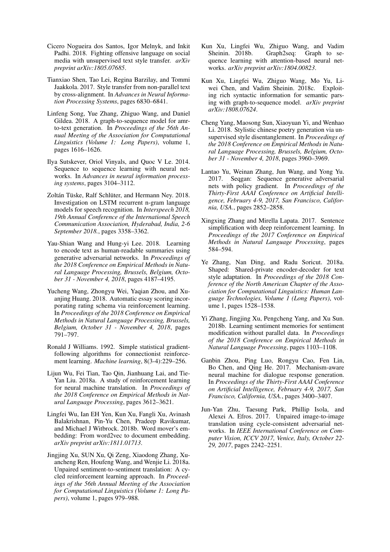- <span id="page-10-1"></span>Cicero Nogueira dos Santos, Igor Melnyk, and Inkit Padhi. 2018. Fighting offensive language on social media with unsupervised text style transfer. *arXiv preprint arXiv:1805.07685*.
- <span id="page-10-3"></span>Tianxiao Shen, Tao Lei, Regina Barzilay, and Tommi Jaakkola. 2017. Style transfer from non-parallel text by cross-alignment. In *Advances in Neural Information Processing Systems*, pages 6830–6841.
- <span id="page-10-6"></span>Linfeng Song, Yue Zhang, Zhiguo Wang, and Daniel Gildea. 2018. A graph-to-sequence model for amrto-text generation. In *Proceedings of the 56th Annual Meeting of the Association for Computational Linguistics (Volume 1: Long Papers)*, volume 1, pages 1616–1626.
- <span id="page-10-15"></span>Ilya Sutskever, Oriol Vinyals, and Quoc V Le. 2014. Sequence to sequence learning with neural networks. In *Advances in neural information processing systems*, pages 3104–3112.
- <span id="page-10-19"></span>Zoltán Tüske, Ralf Schlüter, and Hermann Ney. 2018. Investigation on LSTM recurrent n-gram language models for speech recognition. In *Interspeech 2018, 19th Annual Conference of the International Speech Communication Association, Hyderabad, India, 2-6 September 2018.*, pages 3358–3362.
- <span id="page-10-17"></span>Yau-Shian Wang and Hung-yi Lee. 2018. Learning to encode text as human-readable summaries using generative adversarial networks. In *Proceedings of the 2018 Conference on Empirical Methods in Natural Language Processing, Brussels, Belgium, October 31 - November 4, 2018*, pages 4187–4195.
- <span id="page-10-13"></span>Yucheng Wang, Zhongyu Wei, Yaqian Zhou, and Xuanjing Huang. 2018. Automatic essay scoring incorporating rating schema via reinforcement learning. In *Proceedings of the 2018 Conference on Empirical Methods in Natural Language Processing, Brussels, Belgium, October 31 - November 4, 2018*, pages 791–797.
- <span id="page-10-18"></span>Ronald J Williams. 1992. Simple statistical gradientfollowing algorithms for connectionist reinforcement learning. *Machine learning*, 8(3-4):229–256.
- <span id="page-10-12"></span>Lijun Wu, Fei Tian, Tao Qin, Jianhuang Lai, and Tie-Yan Liu. 2018a. A study of reinforcement learning for neural machine translation. In *Proceedings of the 2018 Conference on Empirical Methods in Natural Language Processing*, pages 3612–3621.
- <span id="page-10-5"></span>Lingfei Wu, Ian EH Yen, Kun Xu, Fangli Xu, Avinash Balakrishnan, Pin-Yu Chen, Pradeep Ravikumar, and Michael J Witbrock. 2018b. Word mover's embedding: From word2vec to document embedding. *arXiv preprint arXiv:1811.01713*.
- <span id="page-10-14"></span>Jingjing Xu, SUN Xu, Qi Zeng, Xiaodong Zhang, Xuancheng Ren, Houfeng Wang, and Wenjie Li. 2018a. Unpaired sentiment-to-sentiment translation: A cycled reinforcement learning approach. In *Proceedings of the 56th Annual Meeting of the Association for Computational Linguistics (Volume 1: Long Papers)*, volume 1, pages 979–988.
- <span id="page-10-4"></span>Kun Xu, Lingfei Wu, Zhiguo Wang, and Vadim Sheinin. 2018b. Graph2seq: Graph to sequence learning with attention-based neural networks. *arXiv preprint arXiv:1804.00823*.
- <span id="page-10-16"></span>Kun Xu, Lingfei Wu, Zhiguo Wang, Mo Yu, Liwei Chen, and Vadim Sheinin. 2018c. Exploiting rich syntactic information for semantic parsing with graph-to-sequence model. *arXiv preprint arXiv:1808.07624*.
- <span id="page-10-2"></span>Cheng Yang, Maosong Sun, Xiaoyuan Yi, and Wenhao Li. 2018. Stylistic chinese poetry generation via unsupervised style disentanglement. In *Proceedings of the 2018 Conference on Empirical Methods in Natural Language Processing, Brussels, Belgium, October 31 - November 4, 2018*, pages 3960–3969.
- <span id="page-10-11"></span>Lantao Yu, Weinan Zhang, Jun Wang, and Yong Yu. 2017. Seqgan: Sequence generative adversarial nets with policy gradient. In *Proceedings of the Thirty-First AAAI Conference on Artificial Intelligence, February 4-9, 2017, San Francisco, California, USA.*, pages 2852–2858.
- <span id="page-10-8"></span>Xingxing Zhang and Mirella Lapata. 2017. Sentence simplification with deep reinforcement learning. In *Proceedings of the 2017 Conference on Empirical Methods in Natural Language Processing*, pages 584–594.
- <span id="page-10-9"></span>Ye Zhang, Nan Ding, and Radu Soricut. 2018a. Shaped: Shared-private encoder-decoder for text style adaptation. In *Proceedings of the 2018 Conference of the North American Chapter of the Association for Computational Linguistics: Human Language Technologies, Volume 1 (Long Papers)*, volume 1, pages 1528–1538.
- <span id="page-10-7"></span>Yi Zhang, Jingjing Xu, Pengcheng Yang, and Xu Sun. 2018b. Learning sentiment memories for sentiment modification without parallel data. In *Proceedings of the 2018 Conference on Empirical Methods in Natural Language Processing*, pages 1103–1108.
- <span id="page-10-0"></span>Ganbin Zhou, Ping Luo, Rongyu Cao, Fen Lin, Bo Chen, and Qing He. 2017. Mechanism-aware neural machine for dialogue response generation. In *Proceedings of the Thirty-First AAAI Conference on Artificial Intelligence, February 4-9, 2017, San Francisco, California, USA.*, pages 3400–3407.
- <span id="page-10-10"></span>Jun-Yan Zhu, Taesung Park, Phillip Isola, and Alexei A. Efros. 2017. Unpaired image-to-image translation using cycle-consistent adversarial networks. In *IEEE International Conference on Computer Vision, ICCV 2017, Venice, Italy, October 22- 29, 2017*, pages 2242–2251.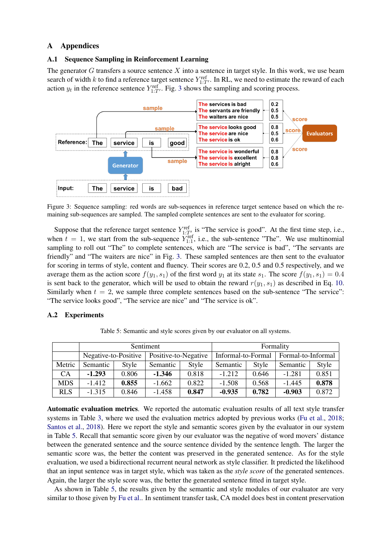# A Appendices

#### A.1 Sequence Sampling in Reinforcement Learning

The generator G transfers a source sentence X into a sentence in target style. In this work, we use beam search of width k to find a reference target sentence  $Y_{1:T'}^{\text{ref}}$ . In RL, we need to estimate the reward of each action  $y_t$  in the reference sentence  $Y_{1:T}^{\text{ref}}$ . Fig. [3](#page-11-0) shows the sampling and scoring process.

<span id="page-11-0"></span>

Figure 3: Sequence sampling: red words are sub-sequences in reference target sentence based on which the remaining sub-sequences are sampled. The sampled complete sentences are sent to the evaluator for scoring.

Suppose that the reference target sentence  $Y_{1:T'}^{\text{ref}}$  is "The service is good". At the first time step, i.e., when  $t = 1$ , we start from the sub-sequence  $Y_{1:1}^{\text{ref}}$ , i.e., the sub-sentence "The". We use multinomial sampling to roll out "The" to complete sentences, which are "The service is bad", "The servants are friendly" and "The waiters are nice" in Fig. [3.](#page-11-0) These sampled sentences are then sent to the evaluator for scoring in terms of style, content and fluency. Their scores are 0.2, 0.5 and 0.5 respectively, and we average them as the action score  $f(y_1, s_1)$  of the first word  $y_1$  at its state  $s_1$ . The score  $f(y_1, s_1) = 0.4$ is sent back to the generator, which will be used to obtain the reward  $r(y_1, s_1)$  as described in Eq. [10.](#page-5-2) Similarly when  $t = 2$ , we sample three complete sentences based on the sub-sentence "The service": "The service looks good", "The service are nice" and "The service is ok".

# <span id="page-11-1"></span>A.2 Experiments

|            | Sentiment            |       |                      |       | Formality          |       |                    |       |
|------------|----------------------|-------|----------------------|-------|--------------------|-------|--------------------|-------|
|            | Negative-to-Positive |       | Positive-to-Negative |       | Informal-to-Formal |       | Formal-to-Informal |       |
| Metric     | Semantic             | Style | Semantic             | Style | Semantic           | Style | Semantic           | Style |
| <b>CA</b>  | $-1.293$             | 0.806 | $-1.346$             | 0.818 | $-1.212$           | 0.646 | $-1.281$           | 0.851 |
| <b>MDS</b> | $-1.412$             | 0.855 | $-1.662$             | 0.822 | $-1.508$           | 0.568 | $-1.445$           | 0.878 |
| <b>RLS</b> | $-1.315$             | 0.846 | $-1.458$             | 0.847 | $-0.935$           | 0.782 | $-0.903$           | 0.872 |

Table 5: Semantic and style scores given by our evaluator on all systems.

Automatic evaluation metrics. We reported the automatic evaluation results of all text style transfer systems in Table [3,](#page-7-1) where we used the evaluation metrics adopted by previous works [\(Fu et al.,](#page-9-3) [2018;](#page-9-3) [Santos et al.,](#page-10-1) [2018\)](#page-10-1). Here we report the style and semantic scores given by the evaluator in our system in Table [5.](#page-11-1) Recall that semantic score given by our evaluator was the negative of word movers' distance between the generated sentence and the source sentence divided by the sentence length. The larger the semantic score was, the better the content was preserved in the generated sentence. As for the style evaluation, we used a bidirectional recurrent neural network as style classifier. It predicted the likelihood that an input sentence was in target style, which was taken as the *style score* of the generated sentences. Again, the larger the style score was, the better the generated sentence fitted in target style.

As shown in Table [5,](#page-11-1) the results given by the semantic and style modules of our evaluator are very similar to those given by [Fu et al..](#page-9-3) In sentiment transfer task, CA model does best in content preservation